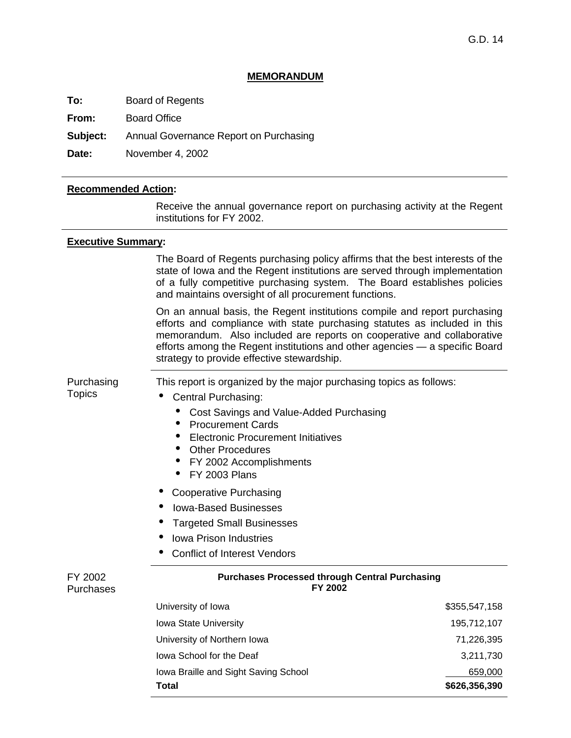#### **MEMORANDUM**

**To:** Board of Regents

**From:** Board Office

**Subject:** Annual Governance Report on Purchasing

**Date:** November 4, 2002

#### **Recommended Action:**

 Receive the annual governance report on purchasing activity at the Regent institutions for FY 2002.

#### **Executive Summary:**

The Board of Regents purchasing policy affirms that the best interests of the state of Iowa and the Regent institutions are served through implementation of a fully competitive purchasing system. The Board establishes policies and maintains oversight of all procurement functions.

On an annual basis, the Regent institutions compile and report purchasing efforts and compliance with state purchasing statutes as included in this memorandum. Also included are reports on cooperative and collaborative efforts among the Regent institutions and other agencies — a specific Board strategy to provide effective stewardship.

Purchasing **Topics** 

This report is organized by the major purchasing topics as follows:

- Central Purchasing:
	- Cost Savings and Value-Added Purchasing
	- Procurement Cards
	- Electronic Procurement Initiatives
	- Other Procedures
	- FY 2002 Accomplishments
	- $\bullet$  FY 2003 Plans
- Cooperative Purchasing
- i Iowa-Based Businesses
- **Targeted Small Businesses**
- Iowa Prison Industries
- Conflict of Interest Vendors

| FY 2002   |
|-----------|
| Purchases |

### **Purchases Processed through Central Purchasing FY 2002**

| Total                                | \$626,356,390 |
|--------------------------------------|---------------|
| Iowa Braille and Sight Saving School | 659,000       |
| lowa School for the Deaf             | 3.211.730     |
| University of Northern Iowa          | 71,226,395    |
| <b>Iowa State University</b>         | 195,712,107   |
| University of Iowa                   | \$355,547,158 |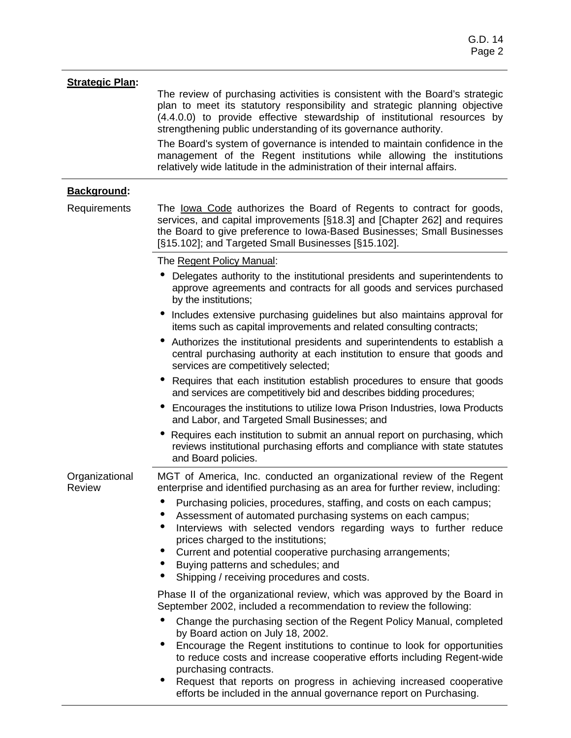| <b>Strategic Plan:</b>          | The review of purchasing activities is consistent with the Board's strategic<br>plan to meet its statutory responsibility and strategic planning objective<br>(4.4.0.0) to provide effective stewardship of institutional resources by<br>strengthening public understanding of its governance authority.<br>The Board's system of governance is intended to maintain confidence in the<br>management of the Regent institutions while allowing the institutions<br>relatively wide latitude in the administration of their internal affairs. |
|---------------------------------|-----------------------------------------------------------------------------------------------------------------------------------------------------------------------------------------------------------------------------------------------------------------------------------------------------------------------------------------------------------------------------------------------------------------------------------------------------------------------------------------------------------------------------------------------|
| <b>Background:</b>              |                                                                                                                                                                                                                                                                                                                                                                                                                                                                                                                                               |
| Requirements                    | The lowa Code authorizes the Board of Regents to contract for goods,<br>services, and capital improvements [§18.3] and [Chapter 262] and requires<br>the Board to give preference to Iowa-Based Businesses; Small Businesses<br>[§15.102]; and Targeted Small Businesses [§15.102].                                                                                                                                                                                                                                                           |
|                                 | The Regent Policy Manual:                                                                                                                                                                                                                                                                                                                                                                                                                                                                                                                     |
|                                 | Delegates authority to the institutional presidents and superintendents to<br>approve agreements and contracts for all goods and services purchased<br>by the institutions;                                                                                                                                                                                                                                                                                                                                                                   |
|                                 | Includes extensive purchasing guidelines but also maintains approval for<br>items such as capital improvements and related consulting contracts;                                                                                                                                                                                                                                                                                                                                                                                              |
|                                 | • Authorizes the institutional presidents and superintendents to establish a<br>central purchasing authority at each institution to ensure that goods and<br>services are competitively selected;                                                                                                                                                                                                                                                                                                                                             |
|                                 | Requires that each institution establish procedures to ensure that goods<br>$\bullet$<br>and services are competitively bid and describes bidding procedures;                                                                                                                                                                                                                                                                                                                                                                                 |
|                                 | Encourages the institutions to utilize Iowa Prison Industries, Iowa Products<br>and Labor, and Targeted Small Businesses; and                                                                                                                                                                                                                                                                                                                                                                                                                 |
|                                 | Requires each institution to submit an annual report on purchasing, which<br>reviews institutional purchasing efforts and compliance with state statutes<br>and Board policies.                                                                                                                                                                                                                                                                                                                                                               |
| Organizational<br><b>Review</b> | MGT of America, Inc. conducted an organizational review of the Regent<br>enterprise and identified purchasing as an area for further review, including:                                                                                                                                                                                                                                                                                                                                                                                       |
|                                 | Purchasing policies, procedures, staffing, and costs on each campus;<br>Assessment of automated purchasing systems on each campus;<br>Interviews with selected vendors regarding ways to further reduce<br>۰<br>prices charged to the institutions;<br>Current and potential cooperative purchasing arrangements;                                                                                                                                                                                                                             |
|                                 | Buying patterns and schedules; and<br>Shipping / receiving procedures and costs.<br>$\bullet$                                                                                                                                                                                                                                                                                                                                                                                                                                                 |
|                                 | Phase II of the organizational review, which was approved by the Board in<br>September 2002, included a recommendation to review the following:                                                                                                                                                                                                                                                                                                                                                                                               |
|                                 | Change the purchasing section of the Regent Policy Manual, completed<br>$\bullet$<br>by Board action on July 18, 2002.                                                                                                                                                                                                                                                                                                                                                                                                                        |
|                                 | Encourage the Regent institutions to continue to look for opportunities<br>to reduce costs and increase cooperative efforts including Regent-wide<br>purchasing contracts.                                                                                                                                                                                                                                                                                                                                                                    |
|                                 | Request that reports on progress in achieving increased cooperative<br>efforts be included in the annual governance report on Purchasing.                                                                                                                                                                                                                                                                                                                                                                                                     |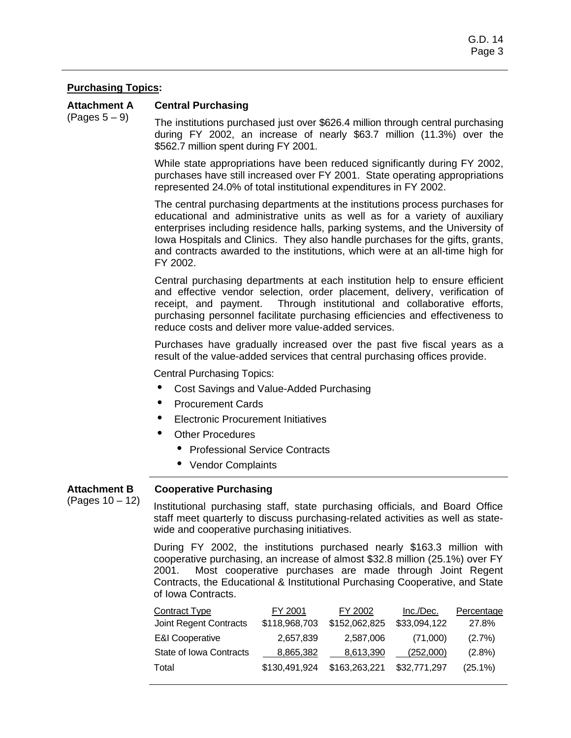## **Purchasing Topics:**

**Attachment A**  (Pages 5 – 9) **Central Purchasing** 

The institutions purchased just over \$626.4 million through central purchasing during FY 2002, an increase of nearly \$63.7 million (11.3%) over the \$562.7 million spent during FY 2001.

While state appropriations have been reduced significantly during FY 2002, purchases have still increased over FY 2001. State operating appropriations represented 24.0% of total institutional expenditures in FY 2002.

The central purchasing departments at the institutions process purchases for educational and administrative units as well as for a variety of auxiliary enterprises including residence halls, parking systems, and the University of Iowa Hospitals and Clinics. They also handle purchases for the gifts, grants, and contracts awarded to the institutions, which were at an all-time high for FY 2002.

Central purchasing departments at each institution help to ensure efficient and effective vendor selection, order placement, delivery, verification of receipt, and payment. Through institutional and collaborative efforts, purchasing personnel facilitate purchasing efficiencies and effectiveness to reduce costs and deliver more value-added services.

Purchases have gradually increased over the past five fiscal years as a result of the value-added services that central purchasing offices provide.

Central Purchasing Topics:

- Cost Savings and Value-Added Purchasing
- Procurement Cards
- **Electronic Procurement Initiatives**
- **Other Procedures** 
	- Professional Service Contracts
	- Vendor Complaints

#### **Cooperative Purchasing Attachment B**

(Pages 10 – 12)

Institutional purchasing staff, state purchasing officials, and Board Office staff meet quarterly to discuss purchasing-related activities as well as statewide and cooperative purchasing initiatives.

During FY 2002, the institutions purchased nearly \$163.3 million with cooperative purchasing, an increase of almost \$32.8 million (25.1%) over FY 2001. Most cooperative purchases are made through Joint Regent Contracts, the Educational & Institutional Purchasing Cooperative, and State of Iowa Contracts.

| <b>Contract Type</b>       | FY 2001       | FY 2002       | Inc./Dec.    | Percentage |
|----------------------------|---------------|---------------|--------------|------------|
| Joint Regent Contracts     | \$118,968,703 | \$152,062,825 | \$33,094,122 | 27.8%      |
| <b>E&amp;I Cooperative</b> | 2,657,839     | 2,587,006     | (71,000)     | $(2.7\%)$  |
| State of Iowa Contracts    | 8,865,382     | 8,613,390     | (252.000)    | $(2.8\%)$  |
| Total                      | \$130,491,924 | \$163,263,221 | \$32,771,297 | $(25.1\%)$ |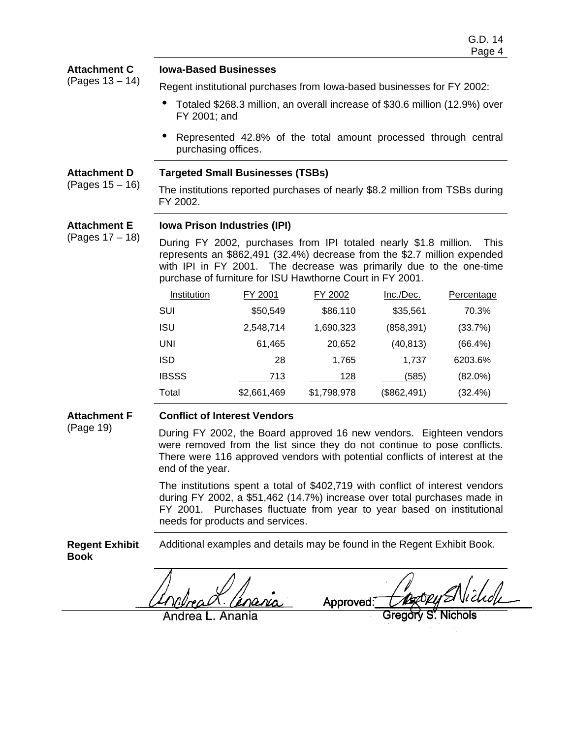| <b>Attachment C</b> | <b>Iowa-Based Businesses</b>                                                                                                                                                                                                                                                                    |             |             |             |            |  |
|---------------------|-------------------------------------------------------------------------------------------------------------------------------------------------------------------------------------------------------------------------------------------------------------------------------------------------|-------------|-------------|-------------|------------|--|
| (Pages 13 – 14)     | Regent institutional purchases from lowa-based businesses for FY 2002:                                                                                                                                                                                                                          |             |             |             |            |  |
|                     | Totaled \$268.3 million, an overall increase of \$30.6 million (12.9%) over<br>FY 2001; and                                                                                                                                                                                                     |             |             |             |            |  |
|                     | Represented 42.8% of the total amount processed through central<br>purchasing offices.                                                                                                                                                                                                          |             |             |             |            |  |
| <b>Attachment D</b> | <b>Targeted Small Businesses (TSBs)</b>                                                                                                                                                                                                                                                         |             |             |             |            |  |
| (Pages 15 – 16)     | The institutions reported purchases of nearly \$8.2 million from TSBs during<br>FY 2002.                                                                                                                                                                                                        |             |             |             |            |  |
| <b>Attachment E</b> | <b>Iowa Prison Industries (IPI)</b>                                                                                                                                                                                                                                                             |             |             |             |            |  |
| (Pages 17 – 18)     | During FY 2002, purchases from IPI totaled nearly \$1.8 million.<br><b>This</b><br>represents an \$862,491 (32.4%) decrease from the \$2.7 million expended<br>with IPI in FY 2001. The decrease was primarily due to the one-time<br>purchase of furniture for ISU Hawthorne Court in FY 2001. |             |             |             |            |  |
|                     | Institution                                                                                                                                                                                                                                                                                     | FY 2001     | FY 2002     | Inc./Dec.   | Percentage |  |
|                     | <b>SUI</b>                                                                                                                                                                                                                                                                                      | \$50,549    | \$86,110    | \$35,561    | 70.3%      |  |
|                     | <b>ISU</b>                                                                                                                                                                                                                                                                                      | 2,548,714   | 1,690,323   | (858, 391)  | (33.7%)    |  |
|                     | <b>UNI</b>                                                                                                                                                                                                                                                                                      | 61,465      | 20,652      | (40, 813)   | $(66.4\%)$ |  |
|                     | <b>ISD</b>                                                                                                                                                                                                                                                                                      | 28          | 1,765       | 1,737       | 6203.6%    |  |
|                     | <b>IBSSS</b>                                                                                                                                                                                                                                                                                    | 713         | 128         | (585)       | $(82.0\%)$ |  |
|                     | Total                                                                                                                                                                                                                                                                                           | \$2,661,469 | \$1,798,978 | (\$862,491) | (32.4%)    |  |

**Attachment F** 

(Page 19)

## **Conflict of Interest Vendors**

During FY 2002, the Board approved 16 new vendors. Eighteen vendors were removed from the list since they do not continue to pose conflicts. There were 116 approved vendors with potential conflicts of interest at the end of the year.

The institutions spent a total of \$402,719 with conflict of interest vendors during FY 2002, a \$51,462 (14.7%) increase over total purchases made in FY 2001. Purchases fluctuate from year to year based on institutional needs for products and services.

**Regent Exhibit Book**  Additional examples and details may be found in the Regent Exhibit Book.

Approved:

Anania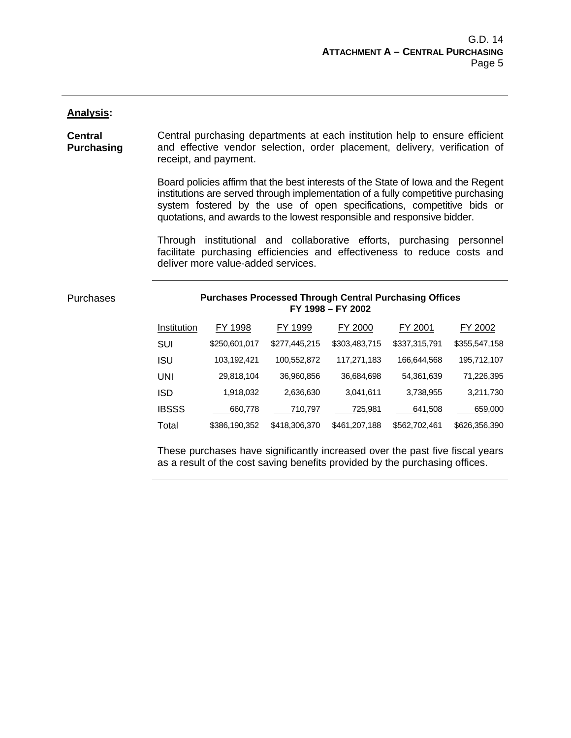#### **Analysis:**

**Central Purchasing**  Central purchasing departments at each institution help to ensure efficient and effective vendor selection, order placement, delivery, verification of receipt, and payment.

> Board policies affirm that the best interests of the State of Iowa and the Regent institutions are served through implementation of a fully competitive purchasing system fostered by the use of open specifications, competitive bids or quotations, and awards to the lowest responsible and responsive bidder.

> Through institutional and collaborative efforts, purchasing personnel facilitate purchasing efficiencies and effectiveness to reduce costs and deliver more value-added services.

Purchases

#### **Purchases Processed Through Central Purchasing Offices FY 1998 – FY 2002**

| Institution  | FY 1998       | FY 1999       | FY 2000       | FY 2001       | FY 2002       |
|--------------|---------------|---------------|---------------|---------------|---------------|
| SUI          | \$250,601,017 | \$277,445,215 | \$303,483,715 | \$337,315,791 | \$355,547,158 |
| ISU          | 103,192,421   | 100,552,872   | 117,271,183   | 166,644,568   | 195,712,107   |
| UNI          | 29,818,104    | 36,960,856    | 36,684,698    | 54,361,639    | 71,226,395    |
| ISD          | 1,918,032     | 2,636,630     | 3,041,611     | 3,738,955     | 3,211,730     |
| <b>IBSSS</b> | 660,778       | 710,797       | 725,981       | 641,508       | 659,000       |
| Total        | \$386,190,352 | \$418,306,370 | \$461,207,188 | \$562,702,461 | \$626,356,390 |

These purchases have significantly increased over the past five fiscal years as a result of the cost saving benefits provided by the purchasing offices.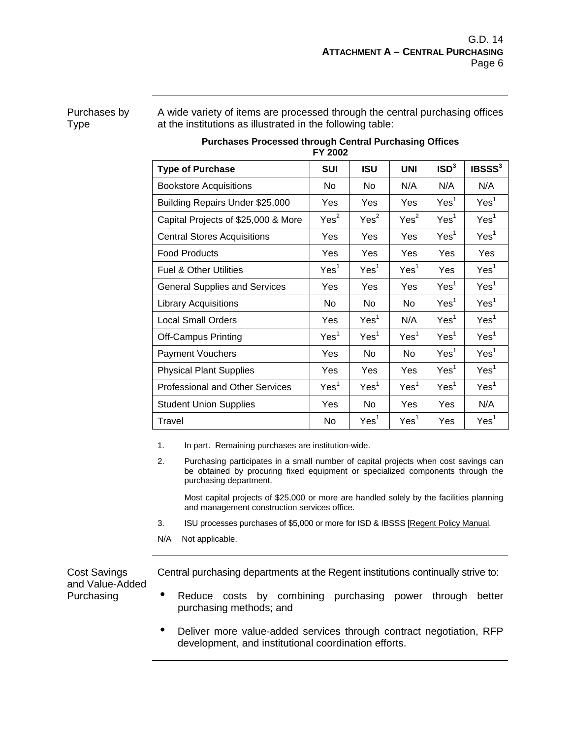### Purchases by Type

A wide variety of items are processed through the central purchasing offices at the institutions as illustrated in the following table:

| FY 2002                                |                  |                  |                  |                  |                    |  |  |
|----------------------------------------|------------------|------------------|------------------|------------------|--------------------|--|--|
| <b>Type of Purchase</b>                | <b>SUI</b>       | <b>ISU</b>       | <b>UNI</b>       | ISD <sup>3</sup> | IBSSS <sup>3</sup> |  |  |
| <b>Bookstore Acquisitions</b>          | No               | No               | N/A              | N/A              | N/A                |  |  |
| Building Repairs Under \$25,000        | Yes              | Yes              | Yes              | Yes <sup>1</sup> | Yes <sup>1</sup>   |  |  |
| Capital Projects of \$25,000 & More    | Yes <sup>2</sup> | Yes <sup>2</sup> | Yes <sup>2</sup> | Yes <sup>1</sup> | Yes <sup>1</sup>   |  |  |
| <b>Central Stores Acquisitions</b>     | Yes              | Yes              | Yes              | Yes <sup>1</sup> | Yes <sup>1</sup>   |  |  |
| <b>Food Products</b>                   | Yes              | Yes              | Yes              | Yes              | Yes                |  |  |
| <b>Fuel &amp; Other Utilities</b>      | Yes <sup>1</sup> | Yes <sup>1</sup> | Yes <sup>1</sup> | Yes              | Yes <sup>1</sup>   |  |  |
| <b>General Supplies and Services</b>   | Yes              | Yes              | Yes              | Yes <sup>1</sup> | Yes <sup>1</sup>   |  |  |
| <b>Library Acquisitions</b>            | No               | No               | No.              | Yes <sup>1</sup> | Yes <sup>1</sup>   |  |  |
| <b>Local Small Orders</b>              | Yes              | Yes <sup>1</sup> | N/A              | Yes <sup>1</sup> | Yes <sup>1</sup>   |  |  |
| <b>Off-Campus Printing</b>             | Yes <sup>1</sup> | Yes <sup>1</sup> | Yes <sup>1</sup> | Yes <sup>1</sup> | Yes <sup>1</sup>   |  |  |
| <b>Payment Vouchers</b>                | Yes              | No.              | No.              | Yes <sup>1</sup> | Yes <sup>1</sup>   |  |  |
| <b>Physical Plant Supplies</b>         | Yes              | Yes              | Yes              | Yes <sup>1</sup> | Yes <sup>1</sup>   |  |  |
| <b>Professional and Other Services</b> | Yes <sup>1</sup> | Yes <sup>1</sup> | Yes <sup>1</sup> | Yes <sup>1</sup> | Yes <sup>1</sup>   |  |  |
| <b>Student Union Supplies</b>          | Yes              | No               | Yes              | Yes              | N/A                |  |  |
| <b>Travel</b>                          | No               | Yes <sup>1</sup> | Yes <sup>1</sup> | Yes              | Yes <sup>1</sup>   |  |  |

# **Purchases Processed through Central Purchasing Offices**

1. In part. Remaining purchases are institution-wide.

2. Purchasing participates in a small number of capital projects when cost savings can be obtained by procuring fixed equipment or specialized components through the purchasing department.

 Most capital projects of \$25,000 or more are handled solely by the facilities planning and management construction services office.

- 3. ISU processes purchases of \$5,000 or more for ISD & IBSSS [Regent Policy Manual.
- N/A Not applicable.

Cost Savings and Value-Added Purchasing

Central purchasing departments at the Regent institutions continually strive to:

- Reduce costs by combining purchasing power through better purchasing methods; and
- Deliver more value-added services through contract negotiation, RFP development, and institutional coordination efforts.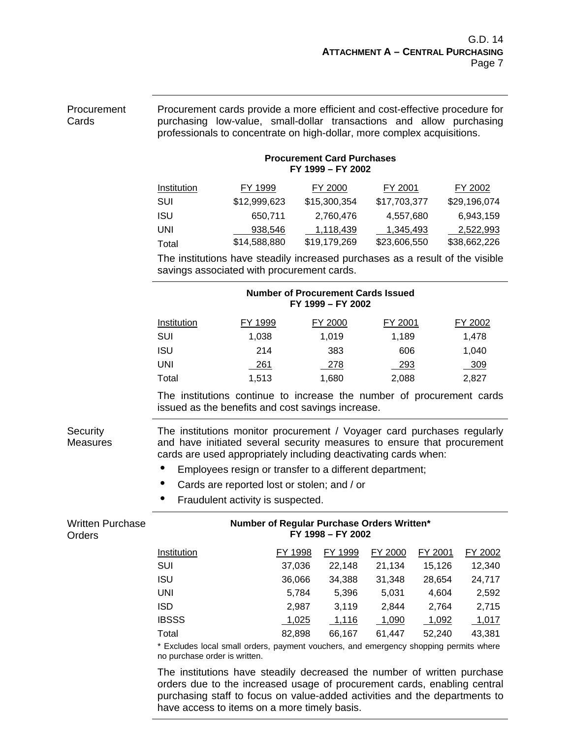| Procurement<br>Cards              | Procurement cards provide a more efficient and cost-effective procedure for<br>purchasing low-value, small-dollar transactions and allow purchasing<br>professionals to concentrate on high-dollar, more complex acquisitions. |                                                                                                                                             |                                                                |              |         |              |
|-----------------------------------|--------------------------------------------------------------------------------------------------------------------------------------------------------------------------------------------------------------------------------|---------------------------------------------------------------------------------------------------------------------------------------------|----------------------------------------------------------------|--------------|---------|--------------|
|                                   | <b>Procurement Card Purchases</b><br>FY 1999 - FY 2002                                                                                                                                                                         |                                                                                                                                             |                                                                |              |         |              |
|                                   | Institution                                                                                                                                                                                                                    | FY 1999                                                                                                                                     | FY 2000                                                        | FY 2001      |         | FY 2002      |
|                                   | SUI                                                                                                                                                                                                                            | \$12,999,623                                                                                                                                | \$15,300,354                                                   | \$17,703,377 |         | \$29,196,074 |
|                                   | <b>ISU</b>                                                                                                                                                                                                                     | 650,711                                                                                                                                     | 2,760,476                                                      | 4,557,680    |         | 6,943,159    |
|                                   | <b>UNI</b>                                                                                                                                                                                                                     | 938,546                                                                                                                                     | 1,118,439                                                      | 1,345,493    |         | 2,522,993    |
|                                   | Total                                                                                                                                                                                                                          | \$14,588,880                                                                                                                                | \$19,179,269                                                   | \$23,606,550 |         | \$38,662,226 |
|                                   | The institutions have steadily increased purchases as a result of the visible<br>savings associated with procurement cards.                                                                                                    |                                                                                                                                             |                                                                |              |         |              |
|                                   |                                                                                                                                                                                                                                |                                                                                                                                             | <b>Number of Procurement Cards Issued</b><br>FY 1999 - FY 2002 |              |         |              |
|                                   | <b>Institution</b>                                                                                                                                                                                                             | FY 1999                                                                                                                                     | FY 2000                                                        | FY 2001      |         | FY 2002      |
|                                   | <b>SUI</b>                                                                                                                                                                                                                     | 1,038                                                                                                                                       | 1,019                                                          | 1,189        |         | 1,478        |
|                                   | <b>ISU</b>                                                                                                                                                                                                                     | 214                                                                                                                                         | 383                                                            | 606          |         | 1,040        |
|                                   | <b>UNI</b>                                                                                                                                                                                                                     | 261                                                                                                                                         | 278                                                            | 293          |         | 309          |
|                                   | Total                                                                                                                                                                                                                          | 1,513                                                                                                                                       | 1,680                                                          | 2,088        |         | 2,827        |
|                                   | The institutions continue to increase the number of procurement cards<br>issued as the benefits and cost savings increase.                                                                                                     |                                                                                                                                             |                                                                |              |         |              |
| Security<br><b>Measures</b>       | The institutions monitor procurement / Voyager card purchases regularly<br>and have initiated several security measures to ensure that procurement<br>cards are used appropriately including deactivating cards when:<br>۰     | Employees resign or transfer to a different department;<br>Cards are reported lost or stolen; and / or<br>Fraudulent activity is suspected. |                                                                |              |         |              |
| <b>Written Purchase</b><br>Orders |                                                                                                                                                                                                                                | Number of Regular Purchase Orders Written*<br>FY 1998 - FY 2002                                                                             |                                                                |              |         |              |
|                                   | <b>Institution</b>                                                                                                                                                                                                             | FY 1998                                                                                                                                     | FY 1999                                                        | FY 2000      | FY 2001 | FY 2002      |
|                                   | SUI                                                                                                                                                                                                                            | 37,036                                                                                                                                      | 22,148                                                         | 21,134       | 15,126  | 12,340       |
|                                   | <b>ISU</b>                                                                                                                                                                                                                     | 36,066                                                                                                                                      | 34,388                                                         | 31,348       | 28,654  | 24,717       |
|                                   | <b>UNI</b>                                                                                                                                                                                                                     |                                                                                                                                             | 5,784<br>5,396                                                 | 5,031        | 4,604   | 2,592        |
|                                   | <b>ISD</b>                                                                                                                                                                                                                     |                                                                                                                                             | 3,119<br>2,987                                                 | 2,844        | 2,764   | 2,715        |
|                                   | <b>IBSSS</b>                                                                                                                                                                                                                   | 1,025                                                                                                                                       | 1,116                                                          | 1,090        | 1,092   | 1,017        |
|                                   | Total                                                                                                                                                                                                                          | 82,898                                                                                                                                      | 66,167                                                         | 61,447       | 52,240  | 43,381       |
|                                   | * Excludes local small orders, payment vouchers, and emergency shopping permits where<br>no purchase order is written.                                                                                                         |                                                                                                                                             |                                                                |              |         |              |
|                                   | The institutions have steadily decreased the number of written purchase<br>to the increased users of procurement cards, anobling                                                                                               |                                                                                                                                             |                                                                |              |         |              |

orders due to the increased usage of procurement cards, enabling central purchasing staff to focus on value-added activities and the departments to have access to items on a more timely basis.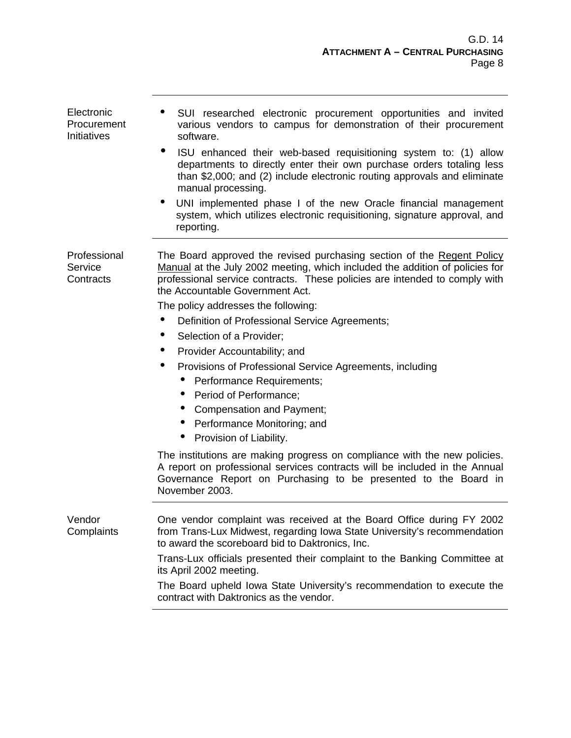| Electronic<br>Procurement<br>Initiatives | ۰<br>SUI researched electronic procurement opportunities and invited<br>various vendors to campus for demonstration of their procurement<br>software.<br>ISU enhanced their web-based requisitioning system to: (1) allow<br>departments to directly enter their own purchase orders totaling less<br>than \$2,000; and (2) include electronic routing approvals and eliminate<br>manual processing.<br>UNI implemented phase I of the new Oracle financial management<br>system, which utilizes electronic requisitioning, signature approval, and<br>reporting.                                                                                                                                                                                                                                                                                                                                             |
|------------------------------------------|---------------------------------------------------------------------------------------------------------------------------------------------------------------------------------------------------------------------------------------------------------------------------------------------------------------------------------------------------------------------------------------------------------------------------------------------------------------------------------------------------------------------------------------------------------------------------------------------------------------------------------------------------------------------------------------------------------------------------------------------------------------------------------------------------------------------------------------------------------------------------------------------------------------|
| Professional<br>Service<br>Contracts     | The Board approved the revised purchasing section of the Regent Policy<br>Manual at the July 2002 meeting, which included the addition of policies for<br>professional service contracts. These policies are intended to comply with<br>the Accountable Government Act.<br>The policy addresses the following:<br>Definition of Professional Service Agreements;<br>٠<br>Selection of a Provider;<br>Provider Accountability; and<br>۰<br>Provisions of Professional Service Agreements, including<br>Performance Requirements;<br>$\bullet$<br>Period of Performance;<br>Compensation and Payment;<br>Performance Monitoring; and<br>Provision of Liability.<br>The institutions are making progress on compliance with the new policies.<br>A report on professional services contracts will be included in the Annual<br>Governance Report on Purchasing to be presented to the Board in<br>November 2003. |
| Vendor<br>Complaints                     | One vendor complaint was received at the Board Office during FY 2002<br>from Trans-Lux Midwest, regarding Iowa State University's recommendation<br>to award the scoreboard bid to Daktronics, Inc.<br>Trans-Lux officials presented their complaint to the Banking Committee at<br>its April 2002 meeting.<br>The Board upheld lowa State University's recommendation to execute the<br>contract with Daktronics as the vendor.                                                                                                                                                                                                                                                                                                                                                                                                                                                                              |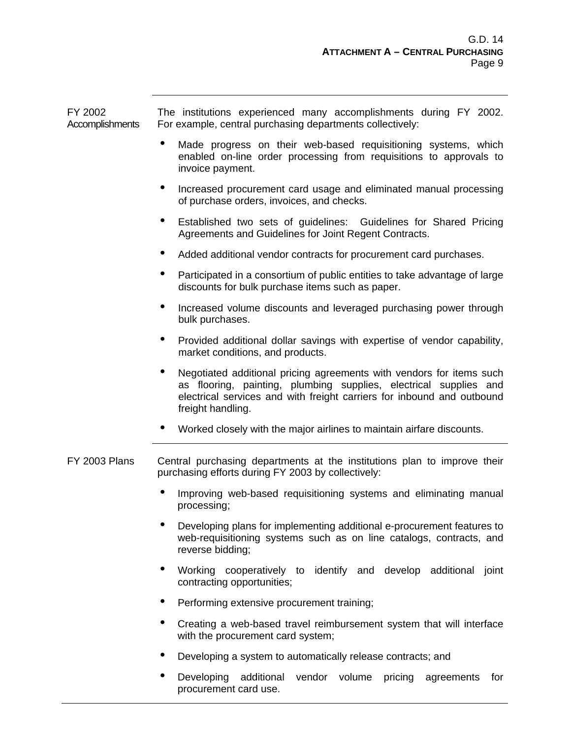| FY 2002<br>Accomplishments | The institutions experienced many accomplishments during FY 2002.<br>For example, central purchasing departments collectively:                                                                                                                |
|----------------------------|-----------------------------------------------------------------------------------------------------------------------------------------------------------------------------------------------------------------------------------------------|
|                            | ٠<br>Made progress on their web-based requisitioning systems, which<br>enabled on-line order processing from requisitions to approvals to<br>invoice payment.                                                                                 |
|                            | ۰<br>Increased procurement card usage and eliminated manual processing<br>of purchase orders, invoices, and checks.                                                                                                                           |
|                            | $\bullet$<br>Established two sets of guidelines: Guidelines for Shared Pricing<br>Agreements and Guidelines for Joint Regent Contracts.                                                                                                       |
|                            | Added additional vendor contracts for procurement card purchases.                                                                                                                                                                             |
|                            | ٠<br>Participated in a consortium of public entities to take advantage of large<br>discounts for bulk purchase items such as paper.                                                                                                           |
|                            | ٠<br>Increased volume discounts and leveraged purchasing power through<br>bulk purchases.                                                                                                                                                     |
|                            | ٠<br>Provided additional dollar savings with expertise of vendor capability,<br>market conditions, and products.                                                                                                                              |
|                            | Negotiated additional pricing agreements with vendors for items such<br>٠<br>as flooring, painting, plumbing supplies, electrical supplies and<br>electrical services and with freight carriers for inbound and outbound<br>freight handling. |
|                            | ۰<br>Worked closely with the major airlines to maintain airfare discounts.                                                                                                                                                                    |
| FY 2003 Plans              | Central purchasing departments at the institutions plan to improve their<br>purchasing efforts during FY 2003 by collectively:                                                                                                                |
|                            | ٠<br>Improving web-based requisitioning systems and eliminating manual<br>processing;                                                                                                                                                         |
|                            | ٠<br>Developing plans for implementing additional e-procurement features to<br>web-requisitioning systems such as on line catalogs, contracts, and<br>reverse bidding;                                                                        |
|                            | ٠<br>Working cooperatively to identify and develop additional<br>joint<br>contracting opportunities;                                                                                                                                          |
|                            | ٠<br>Performing extensive procurement training;                                                                                                                                                                                               |
|                            | ٠<br>Creating a web-based travel reimbursement system that will interface<br>with the procurement card system;                                                                                                                                |
|                            | ٠<br>Developing a system to automatically release contracts; and                                                                                                                                                                              |
|                            | ٠<br>Developing<br>additional<br>vendor<br>volume<br>pricing<br>agreements<br>for<br>procurement card use.                                                                                                                                    |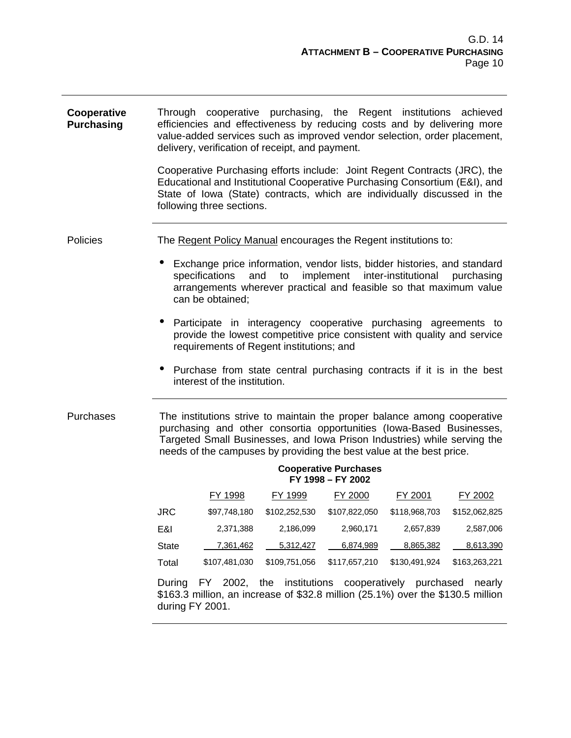| Cooperative<br><b>Purchasing</b> | Through cooperative purchasing, the Regent institutions achieved<br>efficiencies and effectiveness by reducing costs and by delivering more<br>value-added services such as improved vendor selection, order placement,<br>delivery, verification of receipt, and payment.                           |  |  |  |  |  |
|----------------------------------|------------------------------------------------------------------------------------------------------------------------------------------------------------------------------------------------------------------------------------------------------------------------------------------------------|--|--|--|--|--|
|                                  | Cooperative Purchasing efforts include: Joint Regent Contracts (JRC), the<br>Educational and Institutional Cooperative Purchasing Consortium (E&I), and<br>State of Iowa (State) contracts, which are individually discussed in the<br>following three sections.                                     |  |  |  |  |  |
| Policies                         | The Regent Policy Manual encourages the Regent institutions to:                                                                                                                                                                                                                                      |  |  |  |  |  |
|                                  | ٠<br>Exchange price information, vendor lists, bidder histories, and standard<br>implement inter-institutional purchasing<br>specifications<br>and<br>to<br>arrangements wherever practical and feasible so that maximum value<br>can be obtained;                                                   |  |  |  |  |  |
|                                  | Participate in interagency cooperative purchasing agreements to<br>provide the lowest competitive price consistent with quality and service<br>requirements of Regent institutions; and                                                                                                              |  |  |  |  |  |
|                                  | $\bullet$<br>Purchase from state central purchasing contracts if it is in the best<br>interest of the institution.                                                                                                                                                                                   |  |  |  |  |  |
| Purchases                        | The institutions strive to maintain the proper balance among cooperative<br>purchasing and other consortia opportunities (lowa-Based Businesses,<br>Targeted Small Businesses, and Iowa Prison Industries) while serving the<br>needs of the campuses by providing the best value at the best price. |  |  |  |  |  |
|                                  | <b>Cooperative Purchases</b><br>FY 1998 - FY 2002                                                                                                                                                                                                                                                    |  |  |  |  |  |
|                                  | FY 1998<br>FY 1999<br>FY 2001<br>FY 2002<br>FY 2000                                                                                                                                                                                                                                                  |  |  |  |  |  |
|                                  | \$107,822,050<br>\$102,252,530<br>\$118,968,703<br>\$152,062,825<br><b>JRC</b><br>\$97,748,180                                                                                                                                                                                                       |  |  |  |  |  |
|                                  | E&I<br>2,371,388<br>2,186,099<br>2,960,171<br>2,657,839<br>2,587,006                                                                                                                                                                                                                                 |  |  |  |  |  |
|                                  | <b>State</b><br>5,312,427<br>7,361,462<br>6,874,989<br>8,865,382<br>8,613,390                                                                                                                                                                                                                        |  |  |  |  |  |
|                                  | \$109,751,056<br>\$117,657,210<br>\$130,491,924<br>\$163,263,221<br>Total<br>\$107,481,030                                                                                                                                                                                                           |  |  |  |  |  |
|                                  | FY 2002, the institutions cooperatively purchased<br>During<br>nearly<br>\$163.3 million, an increase of \$32.8 million (25.1%) over the \$130.5 million<br>during FY 2001.                                                                                                                          |  |  |  |  |  |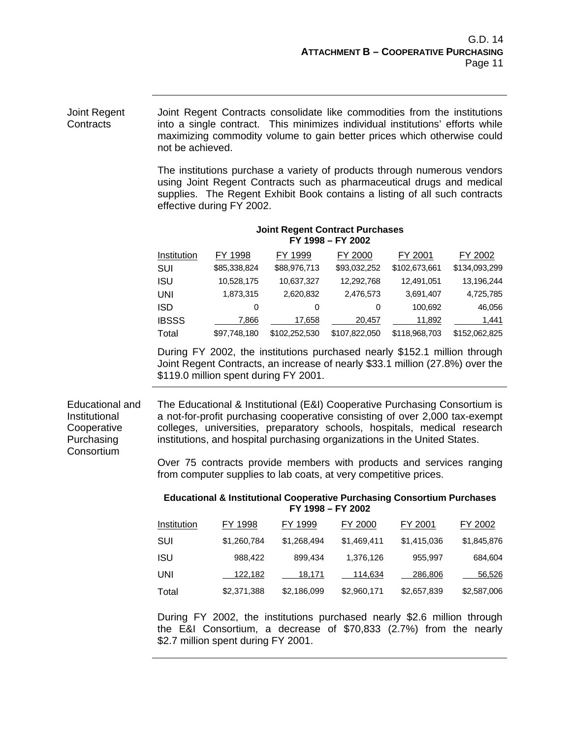Joint Regent Contracts consolidate like commodities from the institutions into a single contract. This minimizes individual institutions' efforts while maximizing commodity volume to gain better prices which otherwise could not be achieved. The institutions purchase a variety of products through numerous vendors using Joint Regent Contracts such as pharmaceutical drugs and medical supplies. The Regent Exhibit Book contains a listing of all such contracts effective during FY 2002. **Joint Regent Contract Purchases FY 1998 – FY 2002** Institution FY 1998 FY 1999 FY 2000 FY 2001 FY 2002 SUI \$85,338,824 \$88,976,713 \$93,032,252 \$102,673,661 \$134,093,299 ISU 10,528,175 10,637,327 12,292,768 12,491,051 13,196,244 UNI 1,873,315 2,620,832 2,476,573 3,691,407 4,725,785 ISD 0 0 0 100,692 46,056 IBSSS <u>2007,866 17,658 20,457 11,892 1,441</u> Total \$97,748,180 \$102,252,530 \$107,822,050 \$118,968,703 \$152,062,825 Joint Regent **Contracts** During FY 2002, the institutions purchased nearly \$152.1 million through Joint Regent Contracts, an increase of nearly \$33.1 million (27.8%) over the \$119.0 million spent during FY 2001. Educational and Institutional **Cooperative** Purchasing Consortium The Educational & Institutional (E&I) Cooperative Purchasing Consortium is a not-for-profit purchasing cooperative consisting of over 2,000 tax-exempt colleges, universities, preparatory schools, hospitals, medical research institutions, and hospital purchasing organizations in the United States. Over 75 contracts provide members with products and services ranging from computer supplies to lab coats, at very competitive prices. **Educational & Institutional Cooperative Purchasing Consortium Purchases FY 1998 – FY 2002** Institution FY 1998 FY 1999 FY 2000 FY 2001 FY 2002 SUI \$1,260,784 \$1,268,494 \$1,469,411 \$1,415,036 \$1,845,876 ISU 988,422 899,434 1,376,126 955,997 684,604 UNI 122,182 18,171 114,634 286,806 56,526 Total \$2,371,388 \$2,186,099 \$2,960,171 \$2,657,839 \$2,587,006 During FY 2002, the institutions purchased nearly \$2.6 million through

the E&I Consortium, a decrease of \$70,833 (2.7%) from the nearly \$2.7 million spent during FY 2001.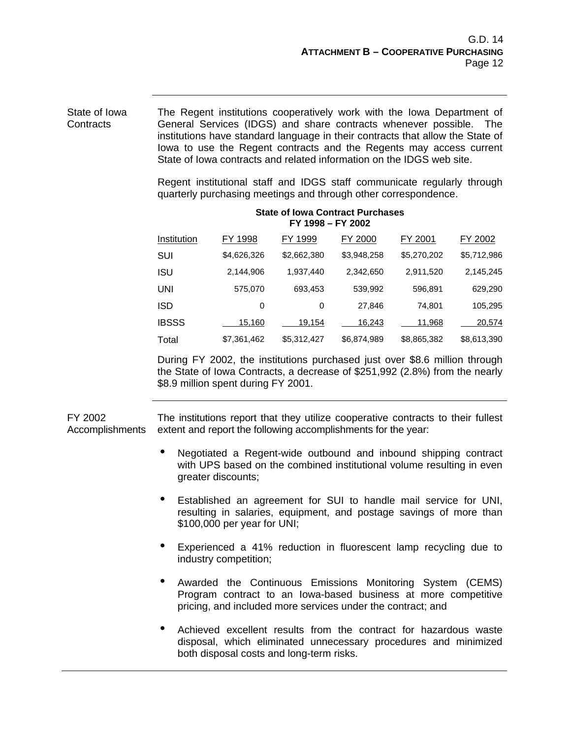The Regent institutions cooperatively work with the Iowa Department of General Services (IDGS) and share contracts whenever possible. The institutions have standard language in their contracts that allow the State of Iowa to use the Regent contracts and the Regents may access current State of Iowa contracts and related information on the IDGS web site. State of Iowa **Contracts** 

> Regent institutional staff and IDGS staff communicate regularly through quarterly purchasing meetings and through other correspondence.

| <b>State of Iowa Contract Purchases</b> |  |
|-----------------------------------------|--|
| FY 1998 - FY 2002                       |  |

| Institution  | FY 1998     | FY 1999     | FY 2000     | FY 2001     | FY 2002     |
|--------------|-------------|-------------|-------------|-------------|-------------|
| SUI          | \$4,626,326 | \$2,662,380 | \$3,948,258 | \$5,270,202 | \$5,712,986 |
| ISU          | 2,144,906   | 1,937,440   | 2,342,650   | 2,911,520   | 2,145,245   |
| UNI          | 575,070     | 693,453     | 539,992     | 596,891     | 629,290     |
| ISD          | 0           | 0           | 27,846      | 74,801      | 105,295     |
| <b>IBSSS</b> | 15,160      | 19,154      | 16,243      | 11,968      | 20,574      |
| Total        | \$7,361,462 | \$5,312,427 | \$6,874,989 | \$8,865,382 | \$8,613,390 |

During FY 2002, the institutions purchased just over \$8.6 million through the State of Iowa Contracts, a decrease of \$251,992 (2.8%) from the nearly \$8.9 million spent during FY 2001.

FY 2002 Accomplishments The institutions report that they utilize cooperative contracts to their fullest extent and report the following accomplishments for the year:

- Negotiated a Regent-wide outbound and inbound shipping contract with UPS based on the combined institutional volume resulting in even greater discounts;
- Established an agreement for SUI to handle mail service for UNI, resulting in salaries, equipment, and postage savings of more than \$100,000 per year for UNI;
- Experienced a 41% reduction in fluorescent lamp recycling due to industry competition;
- Awarded the Continuous Emissions Monitoring System (CEMS) Program contract to an Iowa-based business at more competitive pricing, and included more services under the contract; and
- Achieved excellent results from the contract for hazardous waste disposal, which eliminated unnecessary procedures and minimized both disposal costs and long-term risks.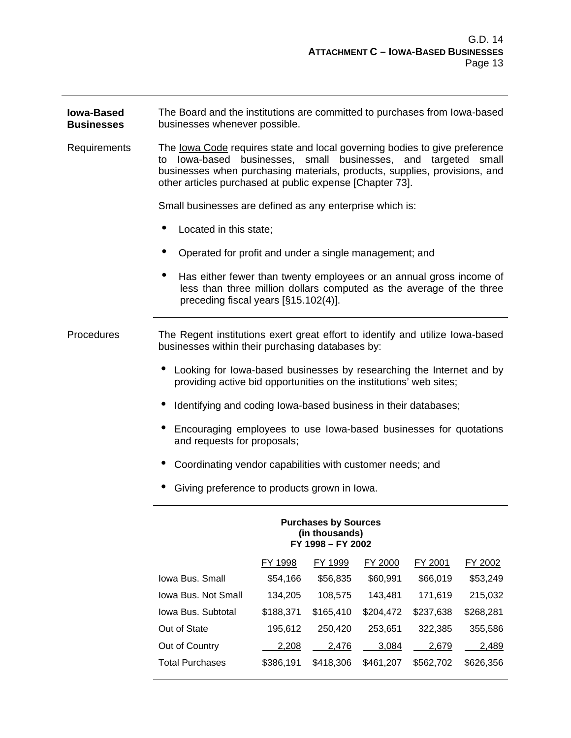**Iowa-Based Businesses** The Board and the institutions are committed to purchases from Iowa-based businesses whenever possible. Requirements The Iowa Code requires state and local governing bodies to give preference to Iowa-based businesses, small businesses, and targeted small businesses when purchasing materials, products, supplies, provisions, and other articles purchased at public expense [Chapter 73]. Small businesses are defined as any enterprise which is: • Located in this state: • Operated for profit and under a single management; and • Has either fewer than twenty employees or an annual gross income of less than three million dollars computed as the average of the three preceding fiscal years [§15.102(4)]. Procedures The Regent institutions exert great effort to identify and utilize Iowa-based businesses within their purchasing databases by: • Looking for Iowa-based businesses by researching the Internet and by providing active bid opportunities on the institutions' web sites; • Identifying and coding Iowa-based business in their databases; • Encouraging employees to use Iowa-based businesses for quotations and requests for proposals; • Coordinating vendor capabilities with customer needs; and • Giving preference to products grown in Iowa. **Purchases by Sources (in thousands) FY 1998 – FY 2002** FY 1998 FY 1999 FY 2000 FY 2001 FY 2002 Iowa Bus. Small \$54,166 \$56,835 \$60,991 \$66,019 \$53,249 Iowa Bus. Not Small 134,205 108,575 143,481 171,619 215,032 Iowa Bus. Subtotal \$188,371 \$165,410 \$204,472 \$237,638 \$268,281 Out of State 195,612 250,420 253,651 322,385 355,586 Out of Country  $2,208$   $2,476$   $3,084$   $2,679$   $2,489$ 

Total Purchases \$386,191 \$418,306 \$461,207 \$562,702 \$626,356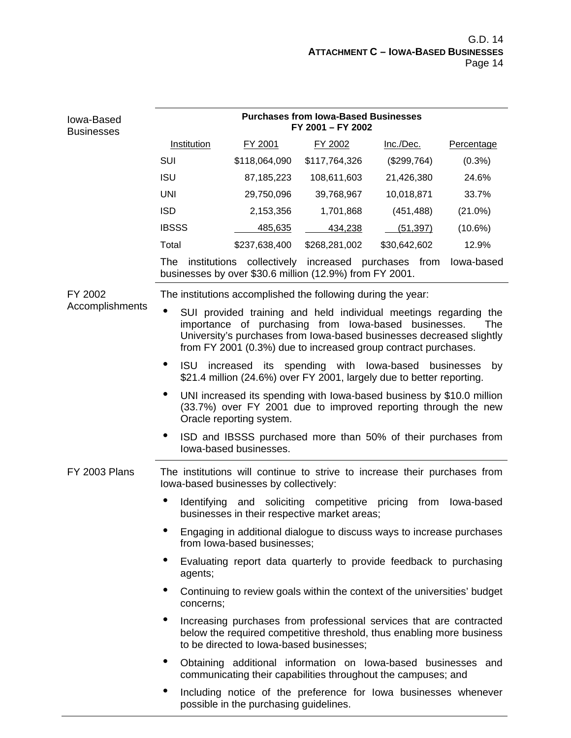| Iowa-Based<br><b>Businesses</b> | <b>Purchases from Iowa-Based Businesses</b><br>FY 2001 - FY 2002                                                                                                                                                                                                          |                                                                                                                                |                                       |              |            |  |
|---------------------------------|---------------------------------------------------------------------------------------------------------------------------------------------------------------------------------------------------------------------------------------------------------------------------|--------------------------------------------------------------------------------------------------------------------------------|---------------------------------------|--------------|------------|--|
|                                 | Institution                                                                                                                                                                                                                                                               | FY 2001                                                                                                                        | FY 2002                               | Inc./Dec.    | Percentage |  |
|                                 | <b>SUI</b>                                                                                                                                                                                                                                                                | \$118,064,090                                                                                                                  | \$117,764,326                         | (\$299,764)  | $(0.3\%)$  |  |
|                                 | <b>ISU</b>                                                                                                                                                                                                                                                                | 87,185,223                                                                                                                     | 108,611,603                           | 21,426,380   | 24.6%      |  |
|                                 | <b>UNI</b>                                                                                                                                                                                                                                                                | 29,750,096                                                                                                                     | 39,768,967                            | 10,018,871   | 33.7%      |  |
|                                 | <b>ISD</b>                                                                                                                                                                                                                                                                | 2,153,356                                                                                                                      | 1,701,868                             | (451, 488)   | $(21.0\%)$ |  |
|                                 | <b>IBSSS</b>                                                                                                                                                                                                                                                              | 485,635                                                                                                                        | 434,238                               | (51, 397)    | $(10.6\%)$ |  |
|                                 | Total                                                                                                                                                                                                                                                                     | \$237,638,400                                                                                                                  | \$268,281,002                         | \$30,642,602 | 12.9%      |  |
|                                 | The<br>institutions                                                                                                                                                                                                                                                       | businesses by over \$30.6 million (12.9%) from FY 2001.                                                                        | collectively increased purchases from |              | lowa-based |  |
| FY 2002                         |                                                                                                                                                                                                                                                                           | The institutions accomplished the following during the year:                                                                   |                                       |              |            |  |
| Accomplishments                 | SUI provided training and held individual meetings regarding the<br>importance of purchasing from lowa-based businesses.<br>The<br>University's purchases from lowa-based businesses decreased slightly<br>from FY 2001 (0.3%) due to increased group contract purchases. |                                                                                                                                |                                       |              |            |  |
|                                 | ISU increased its spending with lowa-based businesses<br>by<br>\$21.4 million (24.6%) over FY 2001, largely due to better reporting.                                                                                                                                      |                                                                                                                                |                                       |              |            |  |
|                                 | UNI increased its spending with lowa-based business by \$10.0 million<br>(33.7%) over FY 2001 due to improved reporting through the new<br>Oracle reporting system.                                                                                                       |                                                                                                                                |                                       |              |            |  |
|                                 | ISD and IBSSS purchased more than 50% of their purchases from<br>lowa-based businesses.                                                                                                                                                                                   |                                                                                                                                |                                       |              |            |  |
| <b>FY 2003 Plans</b>            | The institutions will continue to strive to increase their purchases from<br>lowa-based businesses by collectively:                                                                                                                                                       |                                                                                                                                |                                       |              |            |  |
|                                 | Identifying<br>and soliciting competitive<br>pricing<br>from<br>lowa-based<br>businesses in their respective market areas;                                                                                                                                                |                                                                                                                                |                                       |              |            |  |
|                                 | Engaging in additional dialogue to discuss ways to increase purchases<br>from lowa-based businesses;                                                                                                                                                                      |                                                                                                                                |                                       |              |            |  |
|                                 | Evaluating report data quarterly to provide feedback to purchasing<br>agents;                                                                                                                                                                                             |                                                                                                                                |                                       |              |            |  |
|                                 | Continuing to review goals within the context of the universities' budget<br>٠<br>concerns;                                                                                                                                                                               |                                                                                                                                |                                       |              |            |  |
|                                 | ٠<br>Increasing purchases from professional services that are contracted<br>below the required competitive threshold, thus enabling more business<br>to be directed to lowa-based businesses:                                                                             |                                                                                                                                |                                       |              |            |  |
|                                 | ٠                                                                                                                                                                                                                                                                         | Obtaining additional information on lowa-based businesses and<br>communicating their capabilities throughout the campuses; and |                                       |              |            |  |
|                                 | Including notice of the preference for lowa businesses whenever<br>$\bullet$<br>possible in the purchasing guidelines.                                                                                                                                                    |                                                                                                                                |                                       |              |            |  |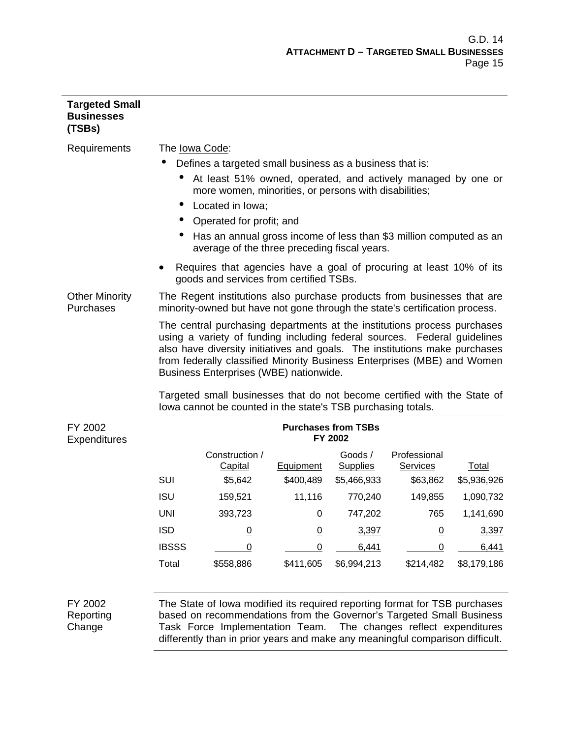| <b>Targeted Small</b><br><b>Businesses</b><br>(TSBs)                                                                                                                                                                                                                                                                                                                                                                                |                                                                                                                    |                                                                                                                                                        |                               |                                       |                             |                      |
|-------------------------------------------------------------------------------------------------------------------------------------------------------------------------------------------------------------------------------------------------------------------------------------------------------------------------------------------------------------------------------------------------------------------------------------|--------------------------------------------------------------------------------------------------------------------|--------------------------------------------------------------------------------------------------------------------------------------------------------|-------------------------------|---------------------------------------|-----------------------------|----------------------|
| Requirements                                                                                                                                                                                                                                                                                                                                                                                                                        | The lowa Code:                                                                                                     |                                                                                                                                                        |                               |                                       |                             |                      |
|                                                                                                                                                                                                                                                                                                                                                                                                                                     | Defines a targeted small business as a business that is:                                                           |                                                                                                                                                        |                               |                                       |                             |                      |
|                                                                                                                                                                                                                                                                                                                                                                                                                                     |                                                                                                                    | At least 51% owned, operated, and actively managed by one or<br>more women, minorities, or persons with disabilities;                                  |                               |                                       |                             |                      |
|                                                                                                                                                                                                                                                                                                                                                                                                                                     |                                                                                                                    | Located in Iowa;                                                                                                                                       |                               |                                       |                             |                      |
|                                                                                                                                                                                                                                                                                                                                                                                                                                     |                                                                                                                    | Operated for profit; and                                                                                                                               |                               |                                       |                             |                      |
|                                                                                                                                                                                                                                                                                                                                                                                                                                     | Has an annual gross income of less than \$3 million computed as an<br>average of the three preceding fiscal years. |                                                                                                                                                        |                               |                                       |                             |                      |
|                                                                                                                                                                                                                                                                                                                                                                                                                                     |                                                                                                                    | Requires that agencies have a goal of procuring at least 10% of its<br>goods and services from certified TSBs.                                         |                               |                                       |                             |                      |
| <b>Other Minority</b><br>Purchases                                                                                                                                                                                                                                                                                                                                                                                                  |                                                                                                                    | The Regent institutions also purchase products from businesses that are<br>minority-owned but have not gone through the state's certification process. |                               |                                       |                             |                      |
| The central purchasing departments at the institutions process purchases<br>using a variety of funding including federal sources. Federal guidelines<br>also have diversity initiatives and goals. The institutions make purchases<br>from federally classified Minority Business Enterprises (MBE) and Women<br>Business Enterprises (WBE) nationwide.<br>Targeted small businesses that do not become certified with the State of |                                                                                                                    |                                                                                                                                                        |                               |                                       |                             |                      |
|                                                                                                                                                                                                                                                                                                                                                                                                                                     |                                                                                                                    | lowa cannot be counted in the state's TSB purchasing totals.                                                                                           |                               |                                       |                             |                      |
| FY 2002<br>Expenditures                                                                                                                                                                                                                                                                                                                                                                                                             |                                                                                                                    |                                                                                                                                                        |                               | <b>Purchases from TSBs</b><br>FY 2002 |                             |                      |
|                                                                                                                                                                                                                                                                                                                                                                                                                                     |                                                                                                                    | Construction /                                                                                                                                         |                               | Goods $/$                             | Professional                |                      |
|                                                                                                                                                                                                                                                                                                                                                                                                                                     | SUI                                                                                                                | <b>Capital</b><br>\$5,642                                                                                                                              | <b>Equipment</b><br>\$400,489 | <b>Supplies</b><br>\$5,466,933        | <b>Services</b><br>\$63,862 | Total<br>\$5,936,926 |
|                                                                                                                                                                                                                                                                                                                                                                                                                                     | <b>ISU</b>                                                                                                         | 159,521                                                                                                                                                | 11,116                        | 770,240                               | 149,855                     | 1,090,732            |
|                                                                                                                                                                                                                                                                                                                                                                                                                                     | <b>UNI</b>                                                                                                         |                                                                                                                                                        | 0                             | 747,202                               | 765                         | 1,141,690            |
|                                                                                                                                                                                                                                                                                                                                                                                                                                     |                                                                                                                    | 393,723                                                                                                                                                |                               |                                       |                             |                      |
|                                                                                                                                                                                                                                                                                                                                                                                                                                     | <b>ISD</b>                                                                                                         | $\underline{0}$                                                                                                                                        | $\underline{0}$               | 3,397                                 | $\underline{0}$             | 3,397                |
|                                                                                                                                                                                                                                                                                                                                                                                                                                     | <b>IBSSS</b>                                                                                                       | $\mathbf 0$                                                                                                                                            | 0                             | 6,441                                 | $\mathbf 0$                 | 6,441                |
|                                                                                                                                                                                                                                                                                                                                                                                                                                     | Total                                                                                                              | \$558,886                                                                                                                                              | \$411,605                     | \$6,994,213                           | \$214,482                   | \$8,179,186          |

FY 2002 Reporting Change

The State of Iowa modified its required reporting format for TSB purchases based on recommendations from the Governor's Targeted Small Business Task Force Implementation Team. The changes reflect expenditures differently than in prior years and make any meaningful comparison difficult.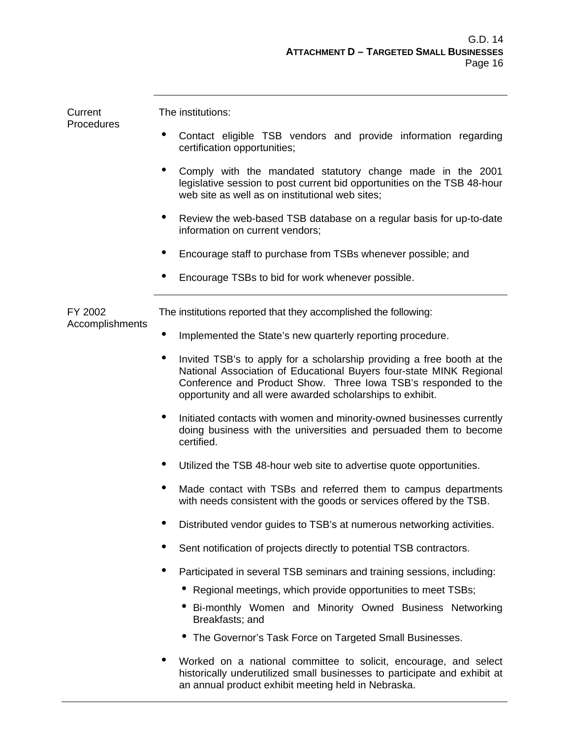| Current<br>Procedures      | The institutions:                                                                                                                                                                                                                                                                 |  |  |  |  |  |  |
|----------------------------|-----------------------------------------------------------------------------------------------------------------------------------------------------------------------------------------------------------------------------------------------------------------------------------|--|--|--|--|--|--|
|                            | Contact eligible TSB vendors and provide information regarding<br>certification opportunities;                                                                                                                                                                                    |  |  |  |  |  |  |
|                            | ٠<br>Comply with the mandated statutory change made in the 2001<br>legislative session to post current bid opportunities on the TSB 48-hour<br>web site as well as on institutional web sites;                                                                                    |  |  |  |  |  |  |
|                            | $\bullet$<br>Review the web-based TSB database on a regular basis for up-to-date<br>information on current vendors;                                                                                                                                                               |  |  |  |  |  |  |
|                            | Encourage staff to purchase from TSBs whenever possible; and                                                                                                                                                                                                                      |  |  |  |  |  |  |
|                            | Encourage TSBs to bid for work whenever possible.                                                                                                                                                                                                                                 |  |  |  |  |  |  |
| FY 2002<br>Accomplishments | The institutions reported that they accomplished the following:                                                                                                                                                                                                                   |  |  |  |  |  |  |
|                            | Implemented the State's new quarterly reporting procedure.<br>$\bullet$                                                                                                                                                                                                           |  |  |  |  |  |  |
|                            | Invited TSB's to apply for a scholarship providing a free booth at the<br>٠<br>National Association of Educational Buyers four-state MINK Regional<br>Conference and Product Show. Three Iowa TSB's responded to the<br>opportunity and all were awarded scholarships to exhibit. |  |  |  |  |  |  |
|                            | $\bullet$<br>Initiated contacts with women and minority-owned businesses currently<br>doing business with the universities and persuaded them to become<br>certified.                                                                                                             |  |  |  |  |  |  |
|                            | Utilized the TSB 48-hour web site to advertise quote opportunities.                                                                                                                                                                                                               |  |  |  |  |  |  |
|                            | Made contact with TSBs and referred them to campus departments<br>with needs consistent with the goods or services offered by the TSB.                                                                                                                                            |  |  |  |  |  |  |
|                            | Distributed vendor guides to TSB's at numerous networking activities.                                                                                                                                                                                                             |  |  |  |  |  |  |
|                            | ۰<br>Sent notification of projects directly to potential TSB contractors.                                                                                                                                                                                                         |  |  |  |  |  |  |
|                            | ٠<br>Participated in several TSB seminars and training sessions, including:                                                                                                                                                                                                       |  |  |  |  |  |  |
|                            | Regional meetings, which provide opportunities to meet TSBs;                                                                                                                                                                                                                      |  |  |  |  |  |  |
|                            | Bi-monthly Women and Minority Owned Business Networking<br>Breakfasts; and                                                                                                                                                                                                        |  |  |  |  |  |  |
|                            | The Governor's Task Force on Targeted Small Businesses.                                                                                                                                                                                                                           |  |  |  |  |  |  |
|                            | Worked on a national committee to solicit, encourage, and select<br>historically underutilized small businesses to participate and exhibit at<br>an annual product exhibit meeting held in Nebraska.                                                                              |  |  |  |  |  |  |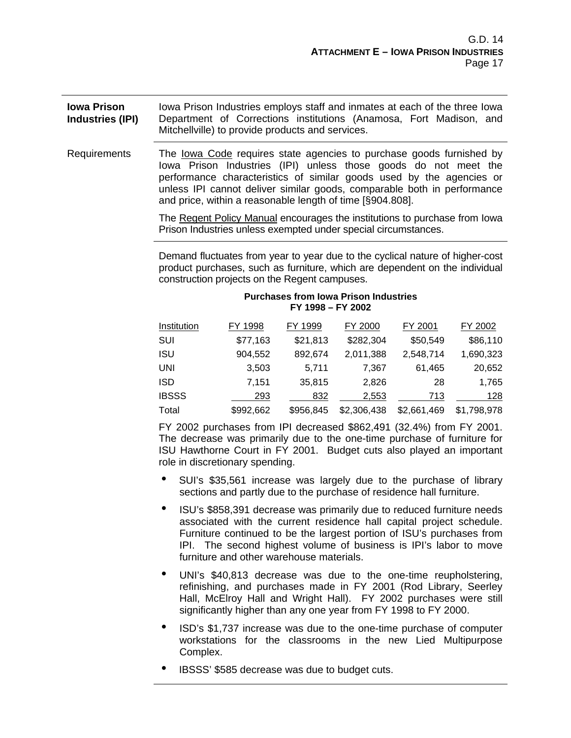#### **Iowa Prison Industries (IPI)** Iowa Prison Industries employs staff and inmates at each of the three Iowa Department of Corrections institutions (Anamosa, Fort Madison, and Mitchellville) to provide products and services.

Requirements The lowa Code requires state agencies to purchase goods furnished by Iowa Prison Industries (IPI) unless those goods do not meet the performance characteristics of similar goods used by the agencies or unless IPI cannot deliver similar goods, comparable both in performance and price, within a reasonable length of time [§904.808].

> The Regent Policy Manual encourages the institutions to purchase from Iowa Prison Industries unless exempted under special circumstances.

> Demand fluctuates from year to year due to the cyclical nature of higher-cost product purchases, such as furniture, which are dependent on the individual construction projects on the Regent campuses.

#### **Purchases from Iowa Prison Industries FY 1998 – FY 2002**

| Institution  | FY 1998   | FY 1999   | FY 2000     | FY 2001     | FY 2002     |
|--------------|-----------|-----------|-------------|-------------|-------------|
| SUI          | \$77,163  | \$21,813  | \$282,304   | \$50,549    | \$86,110    |
| ISU          | 904,552   | 892,674   | 2,011,388   | 2,548,714   | 1,690,323   |
| UNI          | 3,503     | 5,711     | 7,367       | 61,465      | 20,652      |
| <b>ISD</b>   | 7.151     | 35,815    | 2.826       | 28          | 1,765       |
| <b>IBSSS</b> | 293       | 832       | 2.553       | 713         | 128         |
| Total        | \$992,662 | \$956.845 | \$2,306,438 | \$2,661,469 | \$1,798,978 |

FY 2002 purchases from IPI decreased \$862,491 (32.4%) from FY 2001. The decrease was primarily due to the one-time purchase of furniture for ISU Hawthorne Court in FY 2001. Budget cuts also played an important role in discretionary spending.

- SUI's \$35,561 increase was largely due to the purchase of library sections and partly due to the purchase of residence hall furniture.
- ISU's \$858,391 decrease was primarily due to reduced furniture needs associated with the current residence hall capital project schedule. Furniture continued to be the largest portion of ISU's purchases from IPI. The second highest volume of business is IPI's labor to move furniture and other warehouse materials.
- UNI's \$40,813 decrease was due to the one-time reupholstering, refinishing, and purchases made in FY 2001 (Rod Library, Seerley Hall, McElroy Hall and Wright Hall). FY 2002 purchases were still significantly higher than any one year from FY 1998 to FY 2000.
- ISD's \$1,737 increase was due to the one-time purchase of computer workstations for the classrooms in the new Lied Multipurpose Complex.
- i IBSSS' \$585 decrease was due to budget cuts.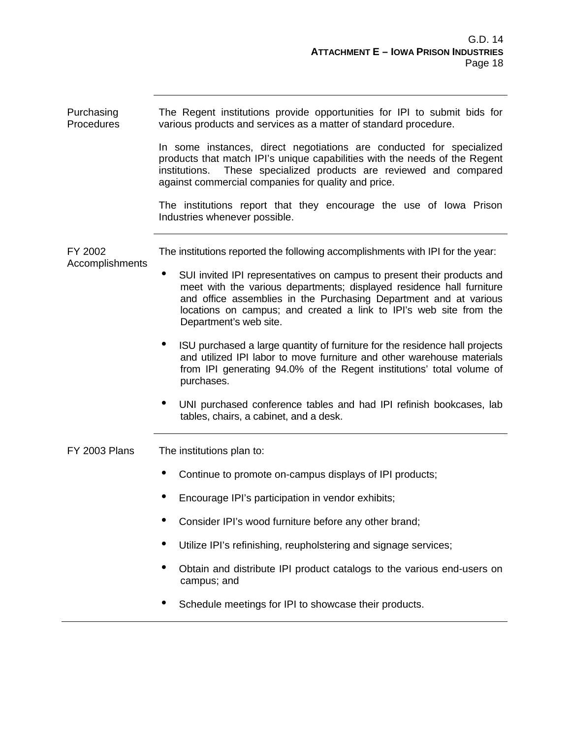| Purchasing<br>Procedures   | The Regent institutions provide opportunities for IPI to submit bids for<br>various products and services as a matter of standard procedure.                                                                                                                                                                          |  |  |  |  |
|----------------------------|-----------------------------------------------------------------------------------------------------------------------------------------------------------------------------------------------------------------------------------------------------------------------------------------------------------------------|--|--|--|--|
|                            | In some instances, direct negotiations are conducted for specialized<br>products that match IPI's unique capabilities with the needs of the Regent<br>These specialized products are reviewed and compared<br>institutions.<br>against commercial companies for quality and price.                                    |  |  |  |  |
|                            | The institutions report that they encourage the use of lowa Prison<br>Industries whenever possible.                                                                                                                                                                                                                   |  |  |  |  |
| FY 2002<br>Accomplishments | The institutions reported the following accomplishments with IPI for the year:                                                                                                                                                                                                                                        |  |  |  |  |
|                            | SUI invited IPI representatives on campus to present their products and<br>meet with the various departments; displayed residence hall furniture<br>and office assemblies in the Purchasing Department and at various<br>locations on campus; and created a link to IPI's web site from the<br>Department's web site. |  |  |  |  |
|                            | ISU purchased a large quantity of furniture for the residence hall projects<br>and utilized IPI labor to move furniture and other warehouse materials<br>from IPI generating 94.0% of the Regent institutions' total volume of<br>purchases.                                                                          |  |  |  |  |
|                            | UNI purchased conference tables and had IPI refinish bookcases, lab<br>tables, chairs, a cabinet, and a desk.                                                                                                                                                                                                         |  |  |  |  |
| <b>FY 2003 Plans</b>       | The institutions plan to:                                                                                                                                                                                                                                                                                             |  |  |  |  |
|                            | Continue to promote on-campus displays of IPI products;                                                                                                                                                                                                                                                               |  |  |  |  |
|                            | Encourage IPI's participation in vendor exhibits;                                                                                                                                                                                                                                                                     |  |  |  |  |
|                            | Consider IPI's wood furniture before any other brand;                                                                                                                                                                                                                                                                 |  |  |  |  |
|                            | Utilize IPI's refinishing, reupholstering and signage services;                                                                                                                                                                                                                                                       |  |  |  |  |
|                            | Obtain and distribute IPI product catalogs to the various end-users on<br>campus; and                                                                                                                                                                                                                                 |  |  |  |  |
|                            | Schedule meetings for IPI to showcase their products.                                                                                                                                                                                                                                                                 |  |  |  |  |